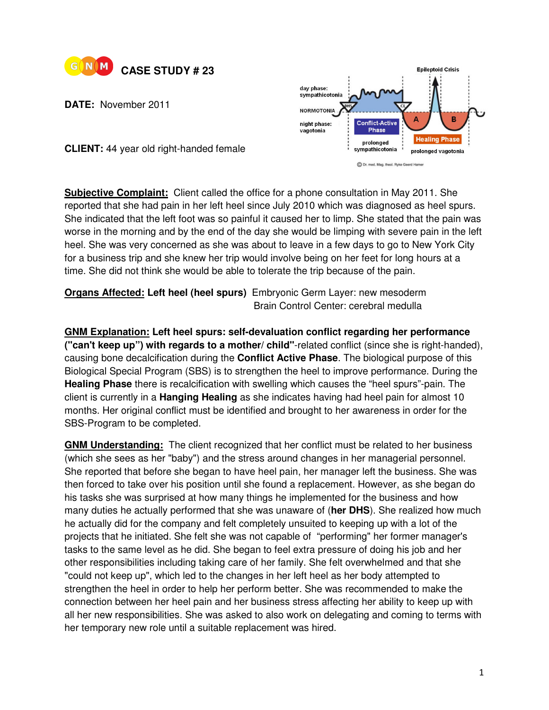

**DATE:** November 2011



**CLIENT:** 44 year old right-handed female

**Subjective Complaint:** Client called the office for a phone consultation in May 2011. She reported that she had pain in her left heel since July 2010 which was diagnosed as heel spurs. She indicated that the left foot was so painful it caused her to limp. She stated that the pain was worse in the morning and by the end of the day she would be limping with severe pain in the left heel. She was very concerned as she was about to leave in a few days to go to New York City for a business trip and she knew her trip would involve being on her feet for long hours at a time. She did not think she would be able to tolerate the trip because of the pain.

**Organs Affected: Left heel (heel spurs)** Embryonic Germ Layer: new mesoderm Brain Control Center: cerebral medulla

**GNM Explanation: Left heel spurs: self-devaluation conflict regarding her performance ("can't keep up") with regards to a mother/ child"**-related conflict (since she is right-handed), causing bone decalcification during the **Conflict Active Phase**. The biological purpose of this Biological Special Program (SBS) is to strengthen the heel to improve performance. During the **Healing Phase** there is recalcification with swelling which causes the "heel spurs"-pain. The client is currently in a **Hanging Healing** as she indicates having had heel pain for almost 10 months. Her original conflict must be identified and brought to her awareness in order for the SBS-Program to be completed.

**GNM Understanding:** The client recognized that her conflict must be related to her business (which she sees as her "baby") and the stress around changes in her managerial personnel. She reported that before she began to have heel pain, her manager left the business. She was then forced to take over his position until she found a replacement. However, as she began do his tasks she was surprised at how many things he implemented for the business and how many duties he actually performed that she was unaware of (**her DHS**). She realized how much he actually did for the company and felt completely unsuited to keeping up with a lot of the projects that he initiated. She felt she was not capable of "performing" her former manager's tasks to the same level as he did. She began to feel extra pressure of doing his job and her other responsibilities including taking care of her family. She felt overwhelmed and that she "could not keep up", which led to the changes in her left heel as her body attempted to strengthen the heel in order to help her perform better. She was recommended to make the connection between her heel pain and her business stress affecting her ability to keep up with all her new responsibilities. She was asked to also work on delegating and coming to terms with her temporary new role until a suitable replacement was hired.